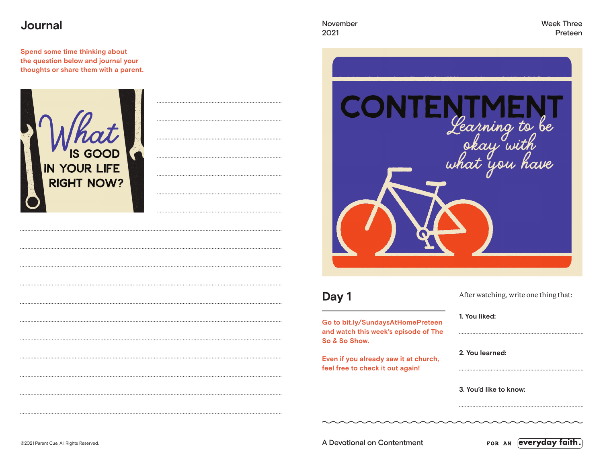#### **Journal**

**Spend some time thinking about the question below and journal your thoughts or share them with a parent.**



2021 Preteen



### **Day 1**

**Go to bit.ly/SundaysAtHomePreteen and watch this week's episode of The So & So Show.**

**Even if you already saw it at church, feel free to check it out again!**

|  | After watching, write one thing that: |
|--|---------------------------------------|
|--|---------------------------------------|

**1. You liked:** 

**2. You learned:** 

**3. You'd like to know:** 

©2021 Parent Cue. All Rights Reserved. A Devotional on Contentment

FOR AN everyday faith.